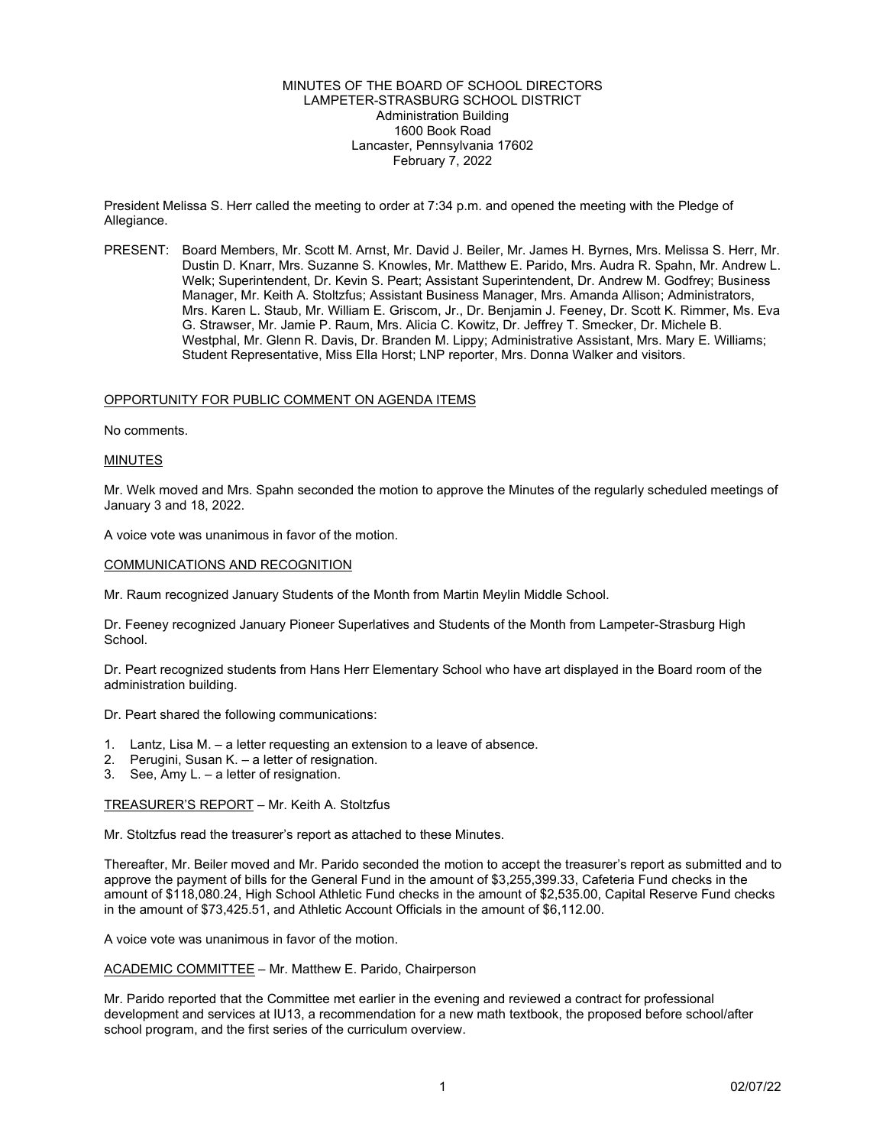#### MINUTES OF THE BOARD OF SCHOOL DIRECTORS LAMPETER-STRASBURG SCHOOL DISTRICT Administration Building 1600 Book Road Lancaster, Pennsylvania 17602 February 7, 2022

President Melissa S. Herr called the meeting to order at 7:34 p.m. and opened the meeting with the Pledge of Allegiance.

PRESENT: Board Members, Mr. Scott M. Arnst, Mr. David J. Beiler, Mr. James H. Byrnes, Mrs. Melissa S. Herr, Mr. Dustin D. Knarr, Mrs. Suzanne S. Knowles, Mr. Matthew E. Parido, Mrs. Audra R. Spahn, Mr. Andrew L. Welk; Superintendent, Dr. Kevin S. Peart; Assistant Superintendent, Dr. Andrew M. Godfrey; Business Manager, Mr. Keith A. Stoltzfus; Assistant Business Manager, Mrs. Amanda Allison; Administrators, Mrs. Karen L. Staub, Mr. William E. Griscom, Jr., Dr. Benjamin J. Feeney, Dr. Scott K. Rimmer, Ms. Eva G. Strawser, Mr. Jamie P. Raum, Mrs. Alicia C. Kowitz, Dr. Jeffrey T. Smecker, Dr. Michele B. Westphal, Mr. Glenn R. Davis, Dr. Branden M. Lippy; Administrative Assistant, Mrs. Mary E. Williams; Student Representative, Miss Ella Horst; LNP reporter, Mrs. Donna Walker and visitors.

#### OPPORTUNITY FOR PUBLIC COMMENT ON AGENDA ITEMS

No comments.

#### MINUTES

Mr. Welk moved and Mrs. Spahn seconded the motion to approve the Minutes of the regularly scheduled meetings of January 3 and 18, 2022.

A voice vote was unanimous in favor of the motion.

#### COMMUNICATIONS AND RECOGNITION

Mr. Raum recognized January Students of the Month from Martin Meylin Middle School.

Dr. Feeney recognized January Pioneer Superlatives and Students of the Month from Lampeter-Strasburg High School.

Dr. Peart recognized students from Hans Herr Elementary School who have art displayed in the Board room of the administration building.

Dr. Peart shared the following communications:

- 1. Lantz, Lisa M. a letter requesting an extension to a leave of absence.
- 2. Perugini, Susan K. a letter of resignation.
- 3. See, Amy L. a letter of resignation.

# TREASURER'S REPORT – Mr. Keith A. Stoltzfus

Mr. Stoltzfus read the treasurer's report as attached to these Minutes.

Thereafter, Mr. Beiler moved and Mr. Parido seconded the motion to accept the treasurer's report as submitted and to approve the payment of bills for the General Fund in the amount of \$3,255,399.33, Cafeteria Fund checks in the amount of \$118,080.24, High School Athletic Fund checks in the amount of \$2,535.00, Capital Reserve Fund checks in the amount of \$73,425.51, and Athletic Account Officials in the amount of \$6,112.00.

A voice vote was unanimous in favor of the motion.

ACADEMIC COMMITTEE – Mr. Matthew E. Parido, Chairperson

Mr. Parido reported that the Committee met earlier in the evening and reviewed a contract for professional development and services at IU13, a recommendation for a new math textbook, the proposed before school/after school program, and the first series of the curriculum overview.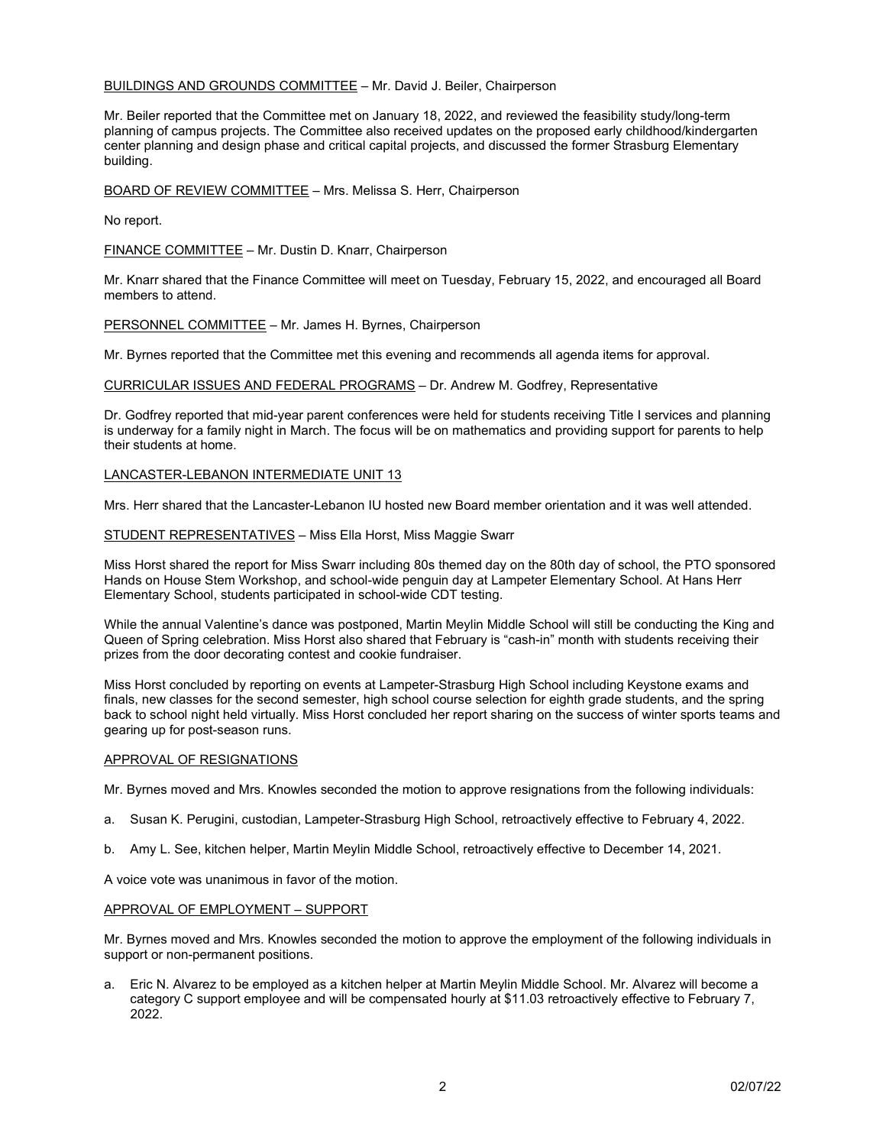# BUILDINGS AND GROUNDS COMMITTEE – Mr. David J. Beiler, Chairperson

Mr. Beiler reported that the Committee met on January 18, 2022, and reviewed the feasibility study/long-term planning of campus projects. The Committee also received updates on the proposed early childhood/kindergarten center planning and design phase and critical capital projects, and discussed the former Strasburg Elementary building.

BOARD OF REVIEW COMMITTEE – Mrs. Melissa S. Herr, Chairperson

No report.

FINANCE COMMITTEE – Mr. Dustin D. Knarr, Chairperson

Mr. Knarr shared that the Finance Committee will meet on Tuesday, February 15, 2022, and encouraged all Board members to attend.

PERSONNEL COMMITTEE - Mr. James H. Byrnes, Chairperson

Mr. Byrnes reported that the Committee met this evening and recommends all agenda items for approval.

CURRICULAR ISSUES AND FEDERAL PROGRAMS – Dr. Andrew M. Godfrey, Representative

Dr. Godfrey reported that mid-year parent conferences were held for students receiving Title I services and planning is underway for a family night in March. The focus will be on mathematics and providing support for parents to help their students at home.

### LANCASTER-LEBANON INTERMEDIATE UNIT 13

Mrs. Herr shared that the Lancaster-Lebanon IU hosted new Board member orientation and it was well attended.

STUDENT REPRESENTATIVES – Miss Ella Horst, Miss Maggie Swarr

Miss Horst shared the report for Miss Swarr including 80s themed day on the 80th day of school, the PTO sponsored Hands on House Stem Workshop, and school-wide penguin day at Lampeter Elementary School. At Hans Herr Elementary School, students participated in school-wide CDT testing.

While the annual Valentine's dance was postponed, Martin Meylin Middle School will still be conducting the King and Queen of Spring celebration. Miss Horst also shared that February is "cash-in" month with students receiving their prizes from the door decorating contest and cookie fundraiser.

Miss Horst concluded by reporting on events at Lampeter-Strasburg High School including Keystone exams and finals, new classes for the second semester, high school course selection for eighth grade students, and the spring back to school night held virtually. Miss Horst concluded her report sharing on the success of winter sports teams and gearing up for post-season runs.

# APPROVAL OF RESIGNATIONS

Mr. Byrnes moved and Mrs. Knowles seconded the motion to approve resignations from the following individuals:

- a. Susan K. Perugini, custodian, Lampeter-Strasburg High School, retroactively effective to February 4, 2022.
- b. Amy L. See, kitchen helper, Martin Meylin Middle School, retroactively effective to December 14, 2021.

A voice vote was unanimous in favor of the motion.

#### APPROVAL OF EMPLOYMENT – SUPPORT

Mr. Byrnes moved and Mrs. Knowles seconded the motion to approve the employment of the following individuals in support or non-permanent positions.

a. Eric N. Alvarez to be employed as a kitchen helper at Martin Meylin Middle School. Mr. Alvarez will become a category C support employee and will be compensated hourly at \$11.03 retroactively effective to February 7, 2022.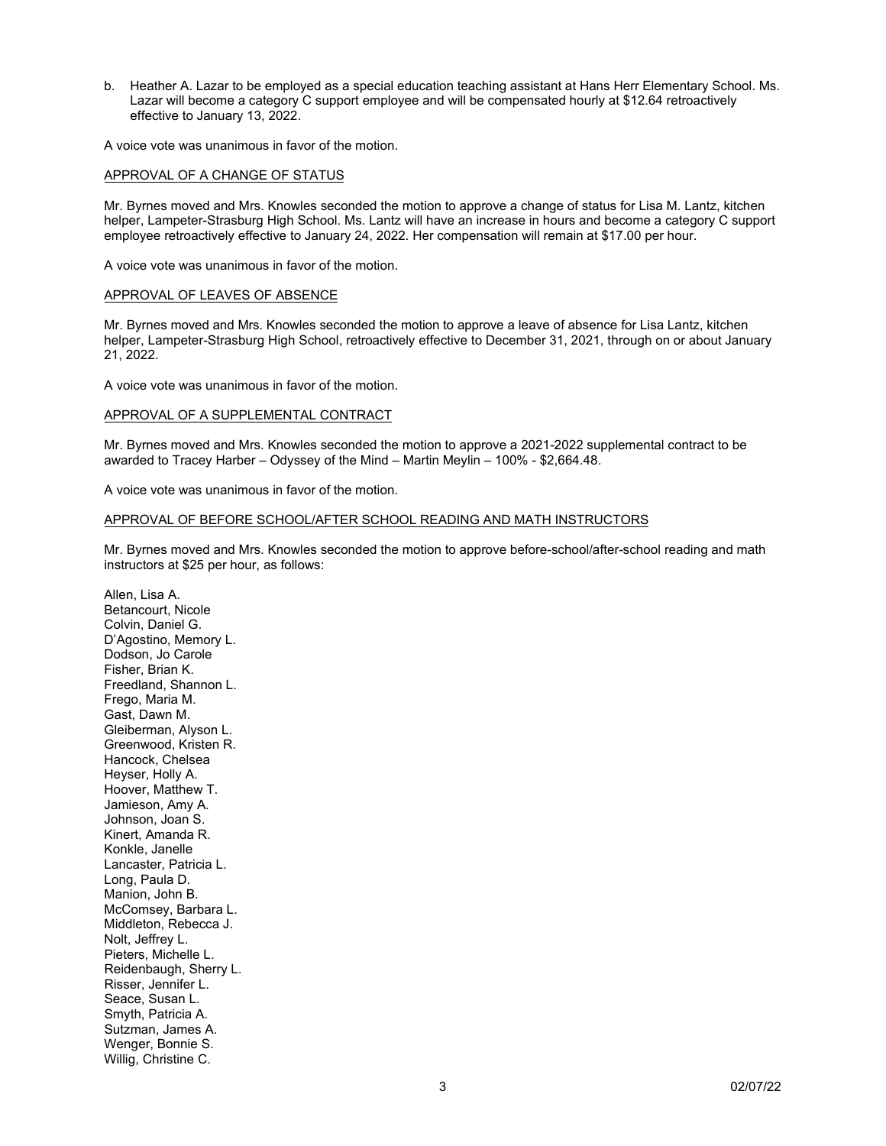b. Heather A. Lazar to be employed as a special education teaching assistant at Hans Herr Elementary School. Ms. Lazar will become a category C support employee and will be compensated hourly at \$12.64 retroactively effective to January 13, 2022.

A voice vote was unanimous in favor of the motion.

# APPROVAL OF A CHANGE OF STATUS

Mr. Byrnes moved and Mrs. Knowles seconded the motion to approve a change of status for Lisa M. Lantz, kitchen helper, Lampeter-Strasburg High School. Ms. Lantz will have an increase in hours and become a category C support employee retroactively effective to January 24, 2022. Her compensation will remain at \$17.00 per hour.

A voice vote was unanimous in favor of the motion.

### APPROVAL OF LEAVES OF ABSENCE

Mr. Byrnes moved and Mrs. Knowles seconded the motion to approve a leave of absence for Lisa Lantz, kitchen helper, Lampeter-Strasburg High School, retroactively effective to December 31, 2021, through on or about January 21, 2022.

A voice vote was unanimous in favor of the motion.

### APPROVAL OF A SUPPLEMENTAL CONTRACT

Mr. Byrnes moved and Mrs. Knowles seconded the motion to approve a 2021-2022 supplemental contract to be awarded to Tracey Harber – Odyssey of the Mind – Martin Meylin – 100% - \$2,664.48.

A voice vote was unanimous in favor of the motion.

# APPROVAL OF BEFORE SCHOOL/AFTER SCHOOL READING AND MATH INSTRUCTORS

Mr. Byrnes moved and Mrs. Knowles seconded the motion to approve before-school/after-school reading and math instructors at \$25 per hour, as follows:

Allen, Lisa A. Betancourt, Nicole Colvin, Daniel G. D'Agostino, Memory L. Dodson, Jo Carole Fisher, Brian K. Freedland, Shannon L. Frego, Maria M. Gast, Dawn M. Gleiberman, Alyson L. Greenwood, Kristen R. Hancock, Chelsea Heyser, Holly A. Hoover, Matthew T. Jamieson, Amy A. Johnson, Joan S. Kinert, Amanda R. Konkle, Janelle Lancaster, Patricia L. Long, Paula D. Manion, John B. McComsey, Barbara L. Middleton, Rebecca J. Nolt, Jeffrey L. Pieters, Michelle L. Reidenbaugh, Sherry L. Risser, Jennifer L. Seace, Susan L. Smyth, Patricia A. Sutzman, James A. Wenger, Bonnie S. Willig, Christine C.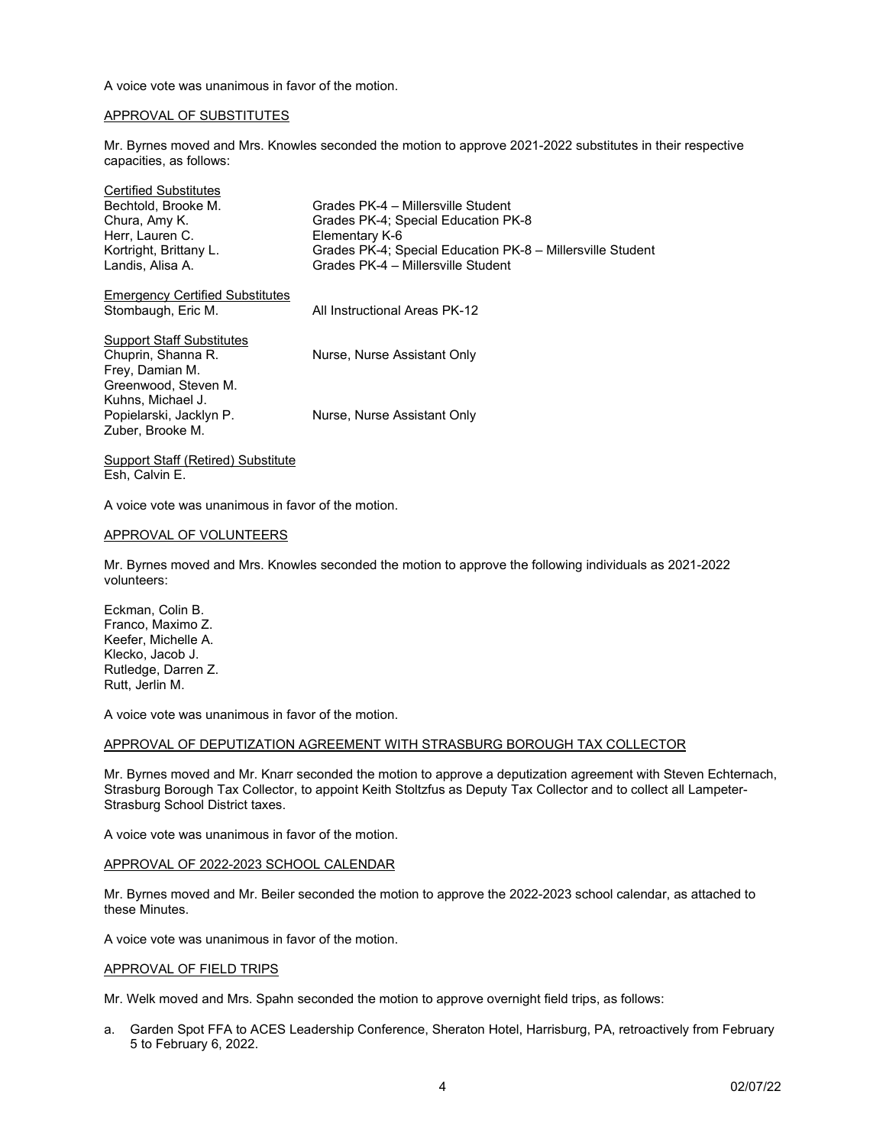A voice vote was unanimous in favor of the motion.

# APPROVAL OF SUBSTITUTES

Mr. Byrnes moved and Mrs. Knowles seconded the motion to approve 2021-2022 substitutes in their respective capacities, as follows:

| <b>Certified Substitutes</b>           |                                                            |
|----------------------------------------|------------------------------------------------------------|
| Bechtold, Brooke M.                    | Grades PK-4 - Millersville Student                         |
| Chura, Amy K.                          | Grades PK-4; Special Education PK-8                        |
| Herr, Lauren C.                        | Elementary K-6                                             |
| Kortright, Brittany L.                 | Grades PK-4; Special Education PK-8 – Millersville Student |
| Landis, Alisa A.                       | Grades PK-4 - Millersville Student                         |
| <b>Emergency Certified Substitutes</b> |                                                            |
| Stombaugh, Eric M.                     | All Instructional Areas PK-12                              |
|                                        |                                                            |
| <b>Support Staff Substitutes</b>       |                                                            |
| Chuprin, Shanna R.                     | Nurse, Nurse Assistant Only                                |
| Frey, Damian M.                        |                                                            |
| Greenwood, Steven M.                   |                                                            |
| Kuhns, Michael J.                      |                                                            |
| Popielarski, Jacklyn P.                | Nurse, Nurse Assistant Only                                |
| Zuber, Brooke M.                       |                                                            |
| Support Staff (Retired) Substitute     |                                                            |

Esh, Calvin E.

A voice vote was unanimous in favor of the motion.

#### APPROVAL OF VOLUNTEERS

Mr. Byrnes moved and Mrs. Knowles seconded the motion to approve the following individuals as 2021-2022 volunteers:

Eckman, Colin B. Franco, Maximo Z. Keefer, Michelle A. Klecko, Jacob J. Rutledge, Darren Z. Rutt, Jerlin M.

A voice vote was unanimous in favor of the motion.

#### APPROVAL OF DEPUTIZATION AGREEMENT WITH STRASBURG BOROUGH TAX COLLECTOR

Mr. Byrnes moved and Mr. Knarr seconded the motion to approve a deputization agreement with Steven Echternach, Strasburg Borough Tax Collector, to appoint Keith Stoltzfus as Deputy Tax Collector and to collect all Lampeter-Strasburg School District taxes.

A voice vote was unanimous in favor of the motion.

# APPROVAL OF 2022-2023 SCHOOL CALENDAR

Mr. Byrnes moved and Mr. Beiler seconded the motion to approve the 2022-2023 school calendar, as attached to these Minutes.

A voice vote was unanimous in favor of the motion.

#### APPROVAL OF FIELD TRIPS

Mr. Welk moved and Mrs. Spahn seconded the motion to approve overnight field trips, as follows:

a. Garden Spot FFA to ACES Leadership Conference, Sheraton Hotel, Harrisburg, PA, retroactively from February 5 to February 6, 2022.